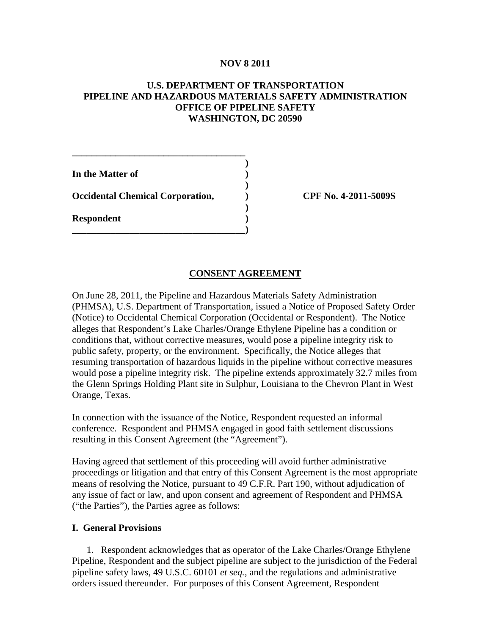## **NOV 8 2011**

# **U.S. DEPARTMENT OF TRANSPORTATION PIPELINE AND HAZARDOUS MATERIALS SAFETY ADMINISTRATION OFFICE OF PIPELINE SAFETY WASHINGTON, DC 20590**

**) In the Matter of ) ) Occidental Chemical Corporation, ) CPF No. 4-2011-5009S ) Respondent ) \_\_\_\_\_\_\_\_\_\_\_\_\_\_\_\_\_\_\_\_\_\_\_\_\_\_\_\_\_\_\_\_\_\_\_\_)**

**\_\_\_\_\_\_\_\_\_\_\_\_\_\_\_\_\_\_\_\_\_\_\_\_\_\_\_\_\_\_\_\_\_\_\_\_**

# **CONSENT AGREEMENT**

On June 28, 2011, the Pipeline and Hazardous Materials Safety Administration (PHMSA), U.S. Department of Transportation, issued a Notice of Proposed Safety Order (Notice) to Occidental Chemical Corporation (Occidental or Respondent). The Notice alleges that Respondent's Lake Charles/Orange Ethylene Pipeline has a condition or conditions that, without corrective measures, would pose a pipeline integrity risk to public safety, property, or the environment. Specifically, the Notice alleges that resuming transportation of hazardous liquids in the pipeline without corrective measures would pose a pipeline integrity risk. The pipeline extends approximately 32.7 miles from the Glenn Springs Holding Plant site in Sulphur, Louisiana to the Chevron Plant in West Orange, Texas.

In connection with the issuance of the Notice, Respondent requested an informal conference. Respondent and PHMSA engaged in good faith settlement discussions resulting in this Consent Agreement (the "Agreement").

Having agreed that settlement of this proceeding will avoid further administrative proceedings or litigation and that entry of this Consent Agreement is the most appropriate means of resolving the Notice, pursuant to 49 C.F.R. Part 190, without adjudication of any issue of fact or law, and upon consent and agreement of Respondent and PHMSA ("the Parties"), the Parties agree as follows:

### **I. General Provisions**

1. Respondent acknowledges that as operator of the Lake Charles/Orange Ethylene Pipeline, Respondent and the subject pipeline are subject to the jurisdiction of the Federal pipeline safety laws, 49 U.S.C. 60101 *et seq.*, and the regulations and administrative orders issued thereunder. For purposes of this Consent Agreement, Respondent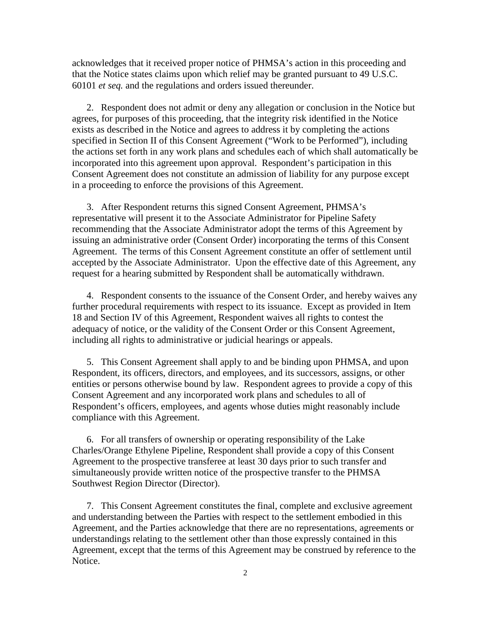acknowledges that it received proper notice of PHMSA's action in this proceeding and that the Notice states claims upon which relief may be granted pursuant to 49 U.S.C. 60101 *et seq.* and the regulations and orders issued thereunder.

2. Respondent does not admit or deny any allegation or conclusion in the Notice but agrees, for purposes of this proceeding, that the integrity risk identified in the Notice exists as described in the Notice and agrees to address it by completing the actions specified in Section II of this Consent Agreement ("Work to be Performed"), including the actions set forth in any work plans and schedules each of which shall automatically be incorporated into this agreement upon approval. Respondent's participation in this Consent Agreement does not constitute an admission of liability for any purpose except in a proceeding to enforce the provisions of this Agreement.

3. After Respondent returns this signed Consent Agreement, PHMSA's representative will present it to the Associate Administrator for Pipeline Safety recommending that the Associate Administrator adopt the terms of this Agreement by issuing an administrative order (Consent Order) incorporating the terms of this Consent Agreement. The terms of this Consent Agreement constitute an offer of settlement until accepted by the Associate Administrator. Upon the effective date of this Agreement, any request for a hearing submitted by Respondent shall be automatically withdrawn.

4. Respondent consents to the issuance of the Consent Order, and hereby waives any further procedural requirements with respect to its issuance. Except as provided in Item 18 and Section IV of this Agreement, Respondent waives all rights to contest the adequacy of notice, or the validity of the Consent Order or this Consent Agreement, including all rights to administrative or judicial hearings or appeals.

5. This Consent Agreement shall apply to and be binding upon PHMSA, and upon Respondent, its officers, directors, and employees, and its successors, assigns, or other entities or persons otherwise bound by law. Respondent agrees to provide a copy of this Consent Agreement and any incorporated work plans and schedules to all of Respondent's officers, employees, and agents whose duties might reasonably include compliance with this Agreement.

6. For all transfers of ownership or operating responsibility of the Lake Charles/Orange Ethylene Pipeline, Respondent shall provide a copy of this Consent Agreement to the prospective transferee at least 30 days prior to such transfer and simultaneously provide written notice of the prospective transfer to the PHMSA Southwest Region Director (Director).

7. This Consent Agreement constitutes the final, complete and exclusive agreement and understanding between the Parties with respect to the settlement embodied in this Agreement, and the Parties acknowledge that there are no representations, agreements or understandings relating to the settlement other than those expressly contained in this Agreement, except that the terms of this Agreement may be construed by reference to the Notice.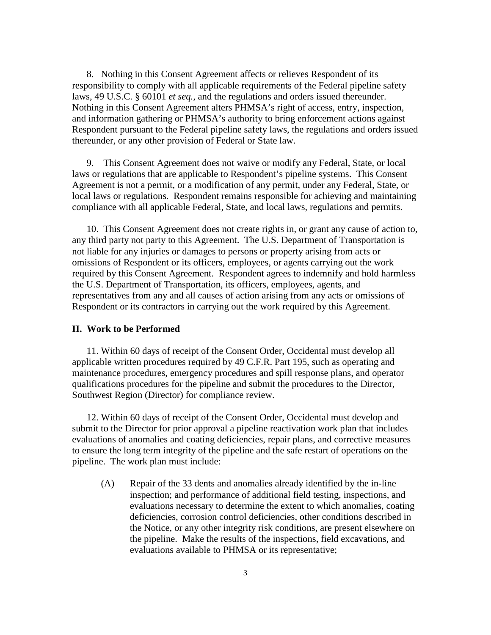8. Nothing in this Consent Agreement affects or relieves Respondent of its responsibility to comply with all applicable requirements of the Federal pipeline safety laws, 49 U.S.C. § 60101 *et seq.*, and the regulations and orders issued thereunder. Nothing in this Consent Agreement alters PHMSA's right of access, entry, inspection, and information gathering or PHMSA's authority to bring enforcement actions against Respondent pursuant to the Federal pipeline safety laws, the regulations and orders issued thereunder, or any other provision of Federal or State law.

9. This Consent Agreement does not waive or modify any Federal, State, or local laws or regulations that are applicable to Respondent's pipeline systems. This Consent Agreement is not a permit, or a modification of any permit, under any Federal, State, or local laws or regulations. Respondent remains responsible for achieving and maintaining compliance with all applicable Federal, State, and local laws, regulations and permits.

10. This Consent Agreement does not create rights in, or grant any cause of action to, any third party not party to this Agreement. The U.S. Department of Transportation is not liable for any injuries or damages to persons or property arising from acts or omissions of Respondent or its officers, employees, or agents carrying out the work required by this Consent Agreement. Respondent agrees to indemnify and hold harmless the U.S. Department of Transportation, its officers, employees, agents, and representatives from any and all causes of action arising from any acts or omissions of Respondent or its contractors in carrying out the work required by this Agreement.

### **II. Work to be Performed**

11. Within 60 days of receipt of the Consent Order, Occidental must develop all applicable written procedures required by 49 C.F.R. Part 195, such as operating and maintenance procedures, emergency procedures and spill response plans, and operator qualifications procedures for the pipeline and submit the procedures to the Director, Southwest Region (Director) for compliance review.

12. Within 60 days of receipt of the Consent Order, Occidental must develop and submit to the Director for prior approval a pipeline reactivation work plan that includes evaluations of anomalies and coating deficiencies, repair plans, and corrective measures to ensure the long term integrity of the pipeline and the safe restart of operations on the pipeline. The work plan must include:

(A) Repair of the 33 dents and anomalies already identified by the in-line inspection; and performance of additional field testing, inspections, and evaluations necessary to determine the extent to which anomalies, coating deficiencies, corrosion control deficiencies, other conditions described in the Notice, or any other integrity risk conditions, are present elsewhere on the pipeline. Make the results of the inspections, field excavations, and evaluations available to PHMSA or its representative;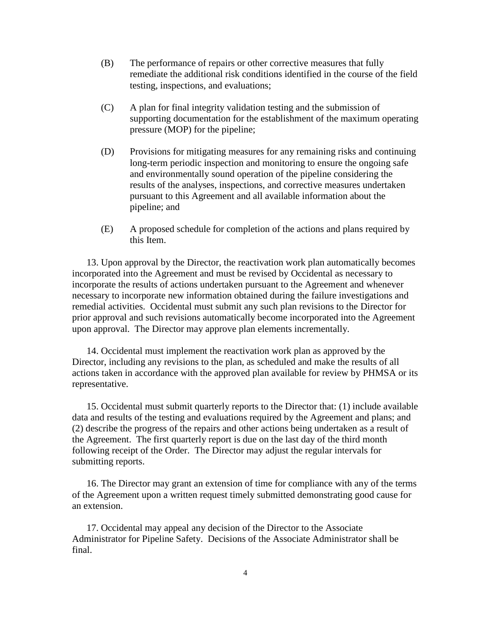- (B) The performance of repairs or other corrective measures that fully remediate the additional risk conditions identified in the course of the field testing, inspections, and evaluations;
- (C) A plan for final integrity validation testing and the submission of supporting documentation for the establishment of the maximum operating pressure (MOP) for the pipeline;
- (D) Provisions for mitigating measures for any remaining risks and continuing long-term periodic inspection and monitoring to ensure the ongoing safe and environmentally sound operation of the pipeline considering the results of the analyses, inspections, and corrective measures undertaken pursuant to this Agreement and all available information about the pipeline; and
- (E) A proposed schedule for completion of the actions and plans required by this Item.

13. Upon approval by the Director, the reactivation work plan automatically becomes incorporated into the Agreement and must be revised by Occidental as necessary to incorporate the results of actions undertaken pursuant to the Agreement and whenever necessary to incorporate new information obtained during the failure investigations and remedial activities. Occidental must submit any such plan revisions to the Director for prior approval and such revisions automatically become incorporated into the Agreement upon approval. The Director may approve plan elements incrementally.

14. Occidental must implement the reactivation work plan as approved by the Director, including any revisions to the plan, as scheduled and make the results of all actions taken in accordance with the approved plan available for review by PHMSA or its representative.

15. Occidental must submit quarterly reports to the Director that: (1) include available data and results of the testing and evaluations required by the Agreement and plans; and (2) describe the progress of the repairs and other actions being undertaken as a result of the Agreement. The first quarterly report is due on the last day of the third month following receipt of the Order. The Director may adjust the regular intervals for submitting reports.

16. The Director may grant an extension of time for compliance with any of the terms of the Agreement upon a written request timely submitted demonstrating good cause for an extension.

17. Occidental may appeal any decision of the Director to the Associate Administrator for Pipeline Safety. Decisions of the Associate Administrator shall be final.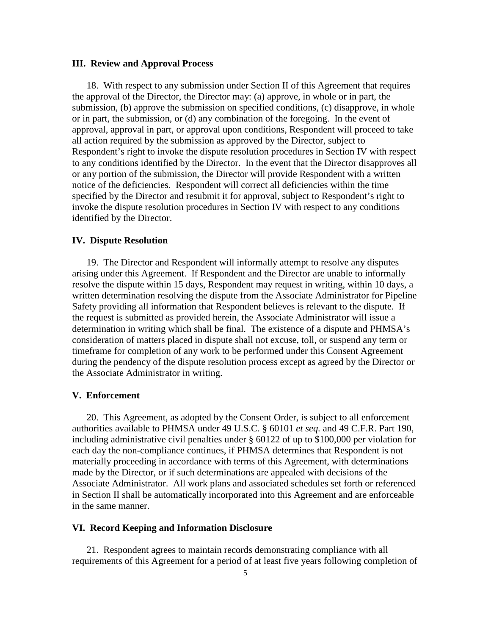#### **III. Review and Approval Process**

18. With respect to any submission under Section II of this Agreement that requires the approval of the Director, the Director may: (a) approve, in whole or in part, the submission, (b) approve the submission on specified conditions, (c) disapprove, in whole or in part, the submission, or (d) any combination of the foregoing. In the event of approval, approval in part, or approval upon conditions, Respondent will proceed to take all action required by the submission as approved by the Director, subject to Respondent's right to invoke the dispute resolution procedures in Section IV with respect to any conditions identified by the Director. In the event that the Director disapproves all or any portion of the submission, the Director will provide Respondent with a written notice of the deficiencies. Respondent will correct all deficiencies within the time specified by the Director and resubmit it for approval, subject to Respondent's right to invoke the dispute resolution procedures in Section IV with respect to any conditions identified by the Director.

#### **IV. Dispute Resolution**

19. The Director and Respondent will informally attempt to resolve any disputes arising under this Agreement. If Respondent and the Director are unable to informally resolve the dispute within 15 days, Respondent may request in writing, within 10 days, a written determination resolving the dispute from the Associate Administrator for Pipeline Safety providing all information that Respondent believes is relevant to the dispute. If the request is submitted as provided herein, the Associate Administrator will issue a determination in writing which shall be final. The existence of a dispute and PHMSA's consideration of matters placed in dispute shall not excuse, toll, or suspend any term or timeframe for completion of any work to be performed under this Consent Agreement during the pendency of the dispute resolution process except as agreed by the Director or the Associate Administrator in writing.

#### **V. Enforcement**

20. This Agreement, as adopted by the Consent Order, is subject to all enforcement authorities available to PHMSA under 49 U.S.C. § 60101 *et seq.* and 49 C.F.R. Part 190, including administrative civil penalties under § 60122 of up to \$100,000 per violation for each day the non-compliance continues, if PHMSA determines that Respondent is not materially proceeding in accordance with terms of this Agreement, with determinations made by the Director, or if such determinations are appealed with decisions of the Associate Administrator. All work plans and associated schedules set forth or referenced in Section II shall be automatically incorporated into this Agreement and are enforceable in the same manner.

### **VI. Record Keeping and Information Disclosure**

21. Respondent agrees to maintain records demonstrating compliance with all requirements of this Agreement for a period of at least five years following completion of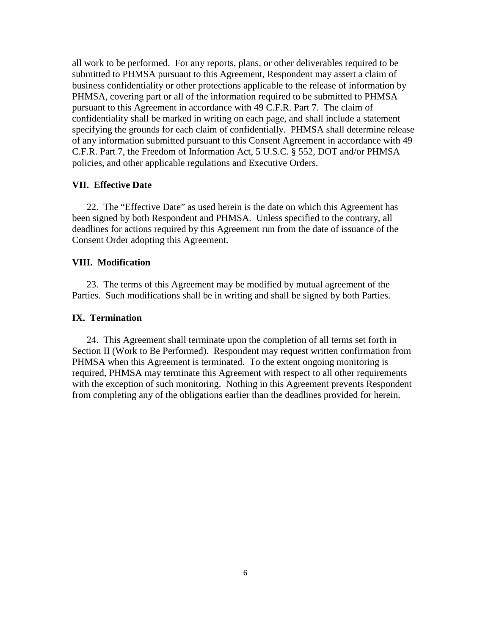all work to be performed. For any reports, plans, or other deliverables required to be submitted to PHMSA pursuant to this Agreement, Respondent may assert a claim of business confidentiality or other protections applicable to the release of information by PHMSA, covering part or all of the information required to be submitted to PHMSA pursuant to this Agreement in accordance with 49 C.F.R. Part 7. The claim of confidentiality shall be marked in writing on each page, and shall include a statement specifying the grounds for each claim of confidentially. PHMSA shall determine release of any information submitted pursuant to this Consent Agreement in accordance with 49 C.F.R. Part 7, the Freedom of Information Act, 5 U.S.C. § 552, DOT and/or PHMSA policies, and other applicable regulations and Executive Orders.

## **VII. Effective Date**

22. The "Effective Date" as used herein is the date on which this Agreement has been signed by both Respondent and PHMSA. Unless specified to the contrary, all deadlines for actions required by this Agreement run from the date of issuance of the Consent Order adopting this Agreement.

## **VIII. Modification**

23. The terms of this Agreement may be modified by mutual agreement of the Parties. Such modifications shall be in writing and shall be signed by both Parties.

### **IX. Termination**

24. This Agreement shall terminate upon the completion of all terms set forth in Section II (Work to Be Performed). Respondent may request written confirmation from PHMSA when this Agreement is terminated. To the extent ongoing monitoring is required, PHMSA may terminate this Agreement with respect to all other requirements with the exception of such monitoring. Nothing in this Agreement prevents Respondent from completing any of the obligations earlier than the deadlines provided for herein.